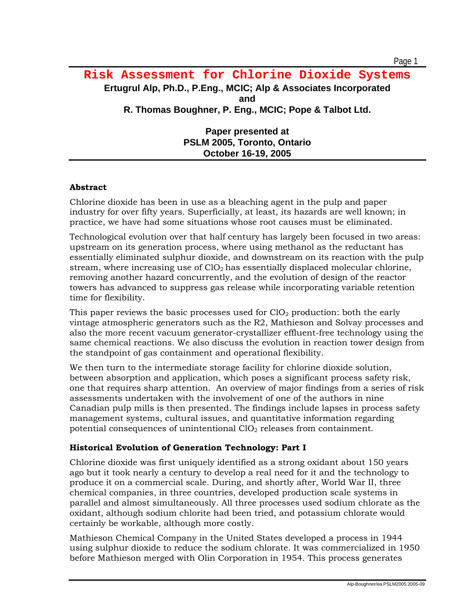**Paper presented at PSLM 2005, Toronto, Ontario October 16-19, 2005** 

### **Abstract**

Chlorine dioxide has been in use as a bleaching agent in the pulp and paper industry for over fifty years. Superficially, at least, its hazards are well known; in practice, we have had some situations whose root causes must be eliminated.

Technological evolution over that half century has largely been focused in two areas: upstream on its generation process, where using methanol as the reductant has essentially eliminated sulphur dioxide, and downstream on its reaction with the pulp stream, where increasing use of  $ClO<sub>2</sub>$  has essentially displaced molecular chlorine, removing another hazard concurrently, and the evolution of design of the reactor towers has advanced to suppress gas release while incorporating variable retention time for flexibility.

This paper reviews the basic processes used for  $ClO<sub>2</sub>$  production: both the early vintage atmospheric generators such as the R2, Mathieson and Solvay processes and also the more recent vacuum generator-crystallizer effluent-free technology using the same chemical reactions. We also discuss the evolution in reaction tower design from the standpoint of gas containment and operational flexibility.

We then turn to the intermediate storage facility for chlorine dioxide solution, between absorption and application, which poses a significant process safety risk, one that requires sharp attention. An overview of major findings from a series of risk assessments undertaken with the involvement of one of the authors in nine Canadian pulp mills is then presented. The findings include lapses in process safety management systems, cultural issues, and quantitative information regarding potential consequences of unintentional  $ClO<sub>2</sub>$  releases from containment.

### **Historical Evolution of Generation Technology: Part I**

Chlorine dioxide was first uniquely identified as a strong oxidant about 150 years ago but it took nearly a century to develop a real need for it and the technology to produce it on a commercial scale. During, and shortly after, World War II, three chemical companies, in three countries, developed production scale systems in parallel and almost simultaneously. All three processes used sodium chlorate as the oxidant, although sodium chlorite had been tried, and potassium chlorate would certainly be workable, although more costly.

Mathieson Chemical Company in the United States developed a process in 1944 using sulphur dioxide to reduce the sodium chlorate. It was commercialized in 1950 before Mathieson merged with Olin Corporation in 1954. This process generates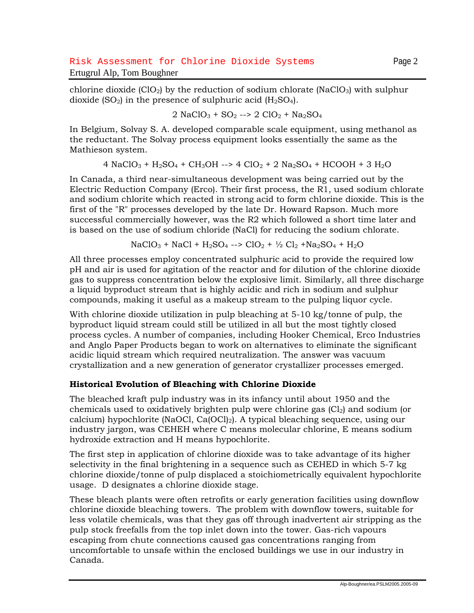chlorine dioxide  $(CIO<sub>2</sub>)$  by the reduction of sodium chlorate (NaClO<sub>3</sub>) with sulphur dioxide  $(SO_2)$  in the presence of sulphuric acid  $(H_2SO_4)$ .

$$
2 \text{ NaClO}_3 + \text{SO}_2 \longrightarrow 2 \text{ ClO}_2 + \text{Na}_2\text{SO}_4
$$

In Belgium, Solvay S. A. developed comparable scale equipment, using methanol as the reductant. The Solvay process equipment looks essentially the same as the Mathieson system.

$$
4 \text{ NaClO}_3 + \text{H}_2\text{SO}_4 + \text{CH}_3\text{OH} \rightarrow 4 \text{ ClO}_2 + 2 \text{ Na}_2\text{SO}_4 + \text{HCOOH} + 3 \text{ H}_2\text{O}
$$

In Canada, a third near-simultaneous development was being carried out by the Electric Reduction Company (Erco). Their first process, the R1, used sodium chlorate and sodium chlorite which reacted in strong acid to form chlorine dioxide. This is the first of the "R" processes developed by the late Dr. Howard Rapson. Much more successful commercially however, was the R2 which followed a short time later and is based on the use of sodium chloride (NaCl) for reducing the sodium chlorate.

$$
NaClO3 + NaCl + H2SO4 -- > ClO2 + ½ Cl2 + Na2SO4 + H2O
$$

All three processes employ concentrated sulphuric acid to provide the required low pH and air is used for agitation of the reactor and for dilution of the chlorine dioxide gas to suppress concentration below the explosive limit. Similarly, all three discharge a liquid byproduct stream that is highly acidic and rich in sodium and sulphur compounds, making it useful as a makeup stream to the pulping liquor cycle.

With chlorine dioxide utilization in pulp bleaching at 5-10 kg/tonne of pulp, the byproduct liquid stream could still be utilized in all but the most tightly closed process cycles. A number of companies, including Hooker Chemical, Erco Industries and Anglo Paper Products began to work on alternatives to eliminate the significant acidic liquid stream which required neutralization. The answer was vacuum crystallization and a new generation of generator crystallizer processes emerged.

### **Historical Evolution of Bleaching with Chlorine Dioxide**

The bleached kraft pulp industry was in its infancy until about 1950 and the chemicals used to oxidatively brighten pulp were chlorine gas  $(Cl<sub>2</sub>)$  and sodium (or calcium) hypochlorite (NaOCl, Ca $\overline{(OCl)_2}$ ). A typical bleaching sequence, using our industry jargon, was CEHEH where C means molecular chlorine, E means sodium hydroxide extraction and H means hypochlorite.

The first step in application of chlorine dioxide was to take advantage of its higher selectivity in the final brightening in a sequence such as CEHED in which 5-7 kg chlorine dioxide/tonne of pulp displaced a stoichiometrically equivalent hypochlorite usage. D designates a chlorine dioxide stage.

These bleach plants were often retrofits or early generation facilities using downflow chlorine dioxide bleaching towers. The problem with downflow towers, suitable for less volatile chemicals, was that they gas off through inadvertent air stripping as the pulp stock freefalls from the top inlet down into the tower. Gas-rich vapours escaping from chute connections caused gas concentrations ranging from uncomfortable to unsafe within the enclosed buildings we use in our industry in Canada.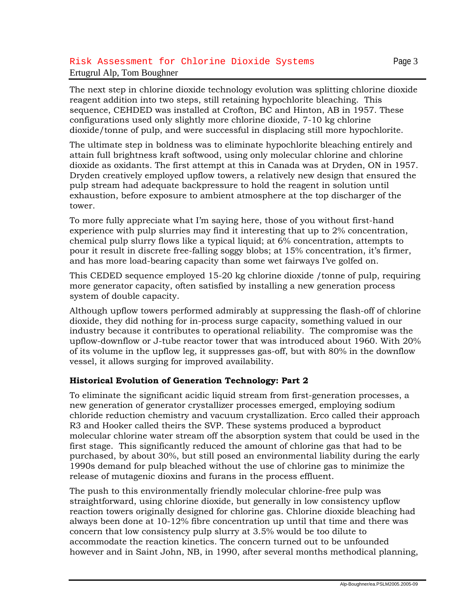### Risk Assessment for Chlorine Dioxide Systems Page 3 Ertugrul Alp, Tom Boughner

The next step in chlorine dioxide technology evolution was splitting chlorine dioxide reagent addition into two steps, still retaining hypochlorite bleaching. This sequence, CEHDED was installed at Crofton, BC and Hinton, AB in 1957. These configurations used only slightly more chlorine dioxide, 7-10 kg chlorine dioxide/tonne of pulp, and were successful in displacing still more hypochlorite.

The ultimate step in boldness was to eliminate hypochlorite bleaching entirely and attain full brightness kraft softwood, using only molecular chlorine and chlorine dioxide as oxidants. The first attempt at this in Canada was at Dryden, ON in 1957. Dryden creatively employed upflow towers, a relatively new design that ensured the pulp stream had adequate backpressure to hold the reagent in solution until exhaustion, before exposure to ambient atmosphere at the top discharger of the tower.

To more fully appreciate what I'm saying here, those of you without first-hand experience with pulp slurries may find it interesting that up to 2% concentration, chemical pulp slurry flows like a typical liquid; at 6% concentration, attempts to pour it result in discrete free-falling soggy blobs; at 15% concentration, it's firmer, and has more load-bearing capacity than some wet fairways I've golfed on.

This CEDED sequence employed 15-20 kg chlorine dioxide /tonne of pulp, requiring more generator capacity, often satisfied by installing a new generation process system of double capacity.

Although upflow towers performed admirably at suppressing the flash-off of chlorine dioxide, they did nothing for in-process surge capacity, something valued in our industry because it contributes to operational reliability. The compromise was the upflow-downflow or J-tube reactor tower that was introduced about 1960. With 20% of its volume in the upflow leg, it suppresses gas-off, but with 80% in the downflow vessel, it allows surging for improved availability.

### **Historical Evolution of Generation Technology: Part 2**

To eliminate the significant acidic liquid stream from first-generation processes, a new generation of generator crystallizer processes emerged, employing sodium chloride reduction chemistry and vacuum crystallization. Erco called their approach R3 and Hooker called theirs the SVP. These systems produced a byproduct molecular chlorine water stream off the absorption system that could be used in the first stage. This significantly reduced the amount of chlorine gas that had to be purchased, by about 30%, but still posed an environmental liability during the early 1990s demand for pulp bleached without the use of chlorine gas to minimize the release of mutagenic dioxins and furans in the process effluent.

The push to this environmentally friendly molecular chlorine-free pulp was straightforward, using chlorine dioxide, but generally in low consistency upflow reaction towers originally designed for chlorine gas. Chlorine dioxide bleaching had always been done at 10-12% fibre concentration up until that time and there was concern that low consistency pulp slurry at 3.5% would be too dilute to accommodate the reaction kinetics. The concern turned out to be unfounded however and in Saint John, NB, in 1990, after several months methodical planning,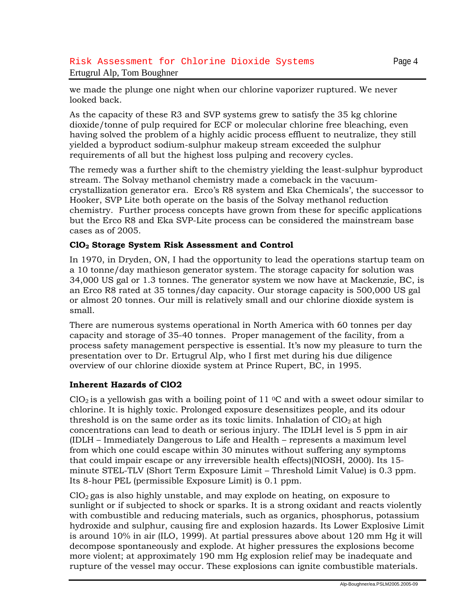### Risk Assessment for Chlorine Dioxide Systems Page 4 Ertugrul Alp, Tom Boughner

we made the plunge one night when our chlorine vaporizer ruptured. We never looked back.

As the capacity of these R3 and SVP systems grew to satisfy the 35 kg chlorine dioxide/tonne of pulp required for ECF or molecular chlorine free bleaching, even having solved the problem of a highly acidic process effluent to neutralize, they still yielded a byproduct sodium-sulphur makeup stream exceeded the sulphur requirements of all but the highest loss pulping and recovery cycles.

The remedy was a further shift to the chemistry yielding the least-sulphur byproduct stream. The Solvay methanol chemistry made a comeback in the vacuumcrystallization generator era. Erco's R8 system and Eka Chemicals', the successor to Hooker, SVP Lite both operate on the basis of the Solvay methanol reduction chemistry. Further process concepts have grown from these for specific applications but the Erco R8 and Eka SVP-Lite process can be considered the mainstream base cases as of 2005.

### **ClO2 Storage System Risk Assessment and Control**

In 1970, in Dryden, ON, I had the opportunity to lead the operations startup team on a 10 tonne/day mathieson generator system. The storage capacity for solution was 34,000 US gal or 1.3 tonnes. The generator system we now have at Mackenzie, BC, is an Erco R8 rated at 35 tonnes/day capacity. Our storage capacity is 500,000 US gal or almost 20 tonnes. Our mill is relatively small and our chlorine dioxide system is small.

There are numerous systems operational in North America with 60 tonnes per day capacity and storage of 35-40 tonnes. Proper management of the facility, from a process safety management perspective is essential. It's now my pleasure to turn the presentation over to Dr. Ertugrul Alp, who I first met during his due diligence overview of our chlorine dioxide system at Prince Rupert, BC, in 1995.

#### **Inherent Hazards of ClO2**

ClO<sub>2</sub> is a yellowish gas with a boiling point of 11 <sup>o</sup>C and with a sweet odour similar to chlorine. It is highly toxic. Prolonged exposure desensitizes people, and its odour threshold is on the same order as its toxic limits. Inhalation of  $ClO<sub>2</sub>$  at high concentrations can lead to death or serious injury. The IDLH level is 5 ppm in air (IDLH – Immediately Dangerous to Life and Health – represents a maximum level from which one could escape within 30 minutes without suffering any symptoms that could impair escape or any irreversible health effects)(NIOSH, 2000). Its 15 minute STEL-TLV (Short Term Exposure Limit – Threshold Limit Value) is 0.3 ppm. Its 8-hour PEL (permissible Exposure Limit) is 0.1 ppm.

 $ClO<sub>2</sub>$  gas is also highly unstable, and may explode on heating, on exposure to sunlight or if subjected to shock or sparks. It is a strong oxidant and reacts violently with combustible and reducing materials, such as organics, phosphorus, potassium hydroxide and sulphur, causing fire and explosion hazards. Its Lower Explosive Limit is around 10% in air (ILO, 1999). At partial pressures above about 120 mm Hg it will decompose spontaneously and explode. At higher pressures the explosions become more violent; at approximately 190 mm Hg explosion relief may be inadequate and rupture of the vessel may occur. These explosions can ignite combustible materials.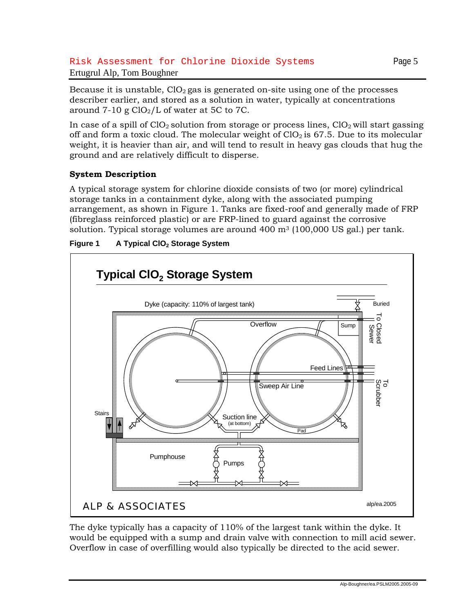## Risk Assessment for Chlorine Dioxide Systems Page 5 Ertugrul Alp, Tom Boughner

In case of a spill of  $ClO<sub>2</sub>$  solution from storage or process lines,  $ClO<sub>2</sub>$  will start gassing off and form a toxic cloud. The molecular weight of  $ClO<sub>2</sub>$  is 67.5. Due to its molecular weight, it is heavier than air, and will tend to result in heavy gas clouds that hug the ground and are relatively difficult to disperse.

# **System Description**

A typical storage system for chlorine dioxide consists of two (or more) cylindrical storage tanks in a containment dyke, along with the associated pumping arrangement, as shown in Figure 1. Tanks are fixed-roof and generally made of FRP (fibreglass reinforced plastic) or are FRP-lined to guard against the corrosive solution. Typical storage volumes are around  $400 \text{ m}^3$  (100,000 US gal.) per tank.





The dyke typically has a capacity of 110% of the largest tank within the dyke. It would be equipped with a sump and drain valve with connection to mill acid sewer. Overflow in case of overfilling would also typically be directed to the acid sewer.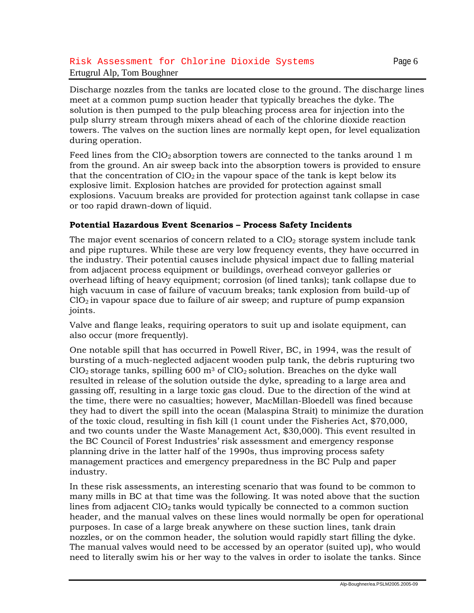## Risk Assessment for Chlorine Dioxide Systems Page 6 Ertugrul Alp, Tom Boughner

Discharge nozzles from the tanks are located close to the ground. The discharge lines meet at a common pump suction header that typically breaches the dyke. The solution is then pumped to the pulp bleaching process area for injection into the pulp slurry stream through mixers ahead of each of the chlorine dioxide reaction towers. The valves on the suction lines are normally kept open, for level equalization during operation.

Feed lines from the  $ClO<sub>2</sub>$  absorption towers are connected to the tanks around 1 m from the ground. An air sweep back into the absorption towers is provided to ensure that the concentration of  $ClO<sub>2</sub>$  in the vapour space of the tank is kept below its explosive limit. Explosion hatches are provided for protection against small explosions. Vacuum breaks are provided for protection against tank collapse in case or too rapid drawn-down of liquid.

### **Potential Hazardous Event Scenarios – Process Safety Incidents**

The major event scenarios of concern related to a  $ClO<sub>2</sub>$  storage system include tank and pipe ruptures. While these are very low frequency events, they have occurred in the industry. Their potential causes include physical impact due to falling material from adjacent process equipment or buildings, overhead conveyor galleries or overhead lifting of heavy equipment; corrosion (of lined tanks); tank collapse due to high vacuum in case of failure of vacuum breaks; tank explosion from build-up of  $ClO<sub>2</sub>$  in vapour space due to failure of air sweep; and rupture of pump expansion joints.

Valve and flange leaks, requiring operators to suit up and isolate equipment, can also occur (more frequently).

One notable spill that has occurred in Powell River, BC, in 1994, was the result of bursting of a much-neglected adjacent wooden pulp tank, the debris rupturing two  $ClO<sub>2</sub>$  storage tanks, spilling 600 m<sup>3</sup> of  $ClO<sub>2</sub>$  solution. Breaches on the dyke wall resulted in release of the solution outside the dyke, spreading to a large area and gassing off, resulting in a large toxic gas cloud. Due to the direction of the wind at the time, there were no casualties; however, MacMillan-Bloedell was fined because they had to divert the spill into the ocean (Malaspina Strait) to minimize the duration of the toxic cloud, resulting in fish kill (1 count under the Fisheries Act, \$70,000, and two counts under the Waste Management Act, \$30,000). This event resulted in the BC Council of Forest Industries' risk assessment and emergency response planning drive in the latter half of the 1990s, thus improving process safety management practices and emergency preparedness in the BC Pulp and paper industry.

In these risk assessments, an interesting scenario that was found to be common to many mills in BC at that time was the following. It was noted above that the suction lines from adjacent  $ClO<sub>2</sub>$  tanks would typically be connected to a common suction header, and the manual valves on these lines would normally be open for operational purposes. In case of a large break anywhere on these suction lines, tank drain nozzles, or on the common header, the solution would rapidly start filling the dyke. The manual valves would need to be accessed by an operator (suited up), who would need to literally swim his or her way to the valves in order to isolate the tanks. Since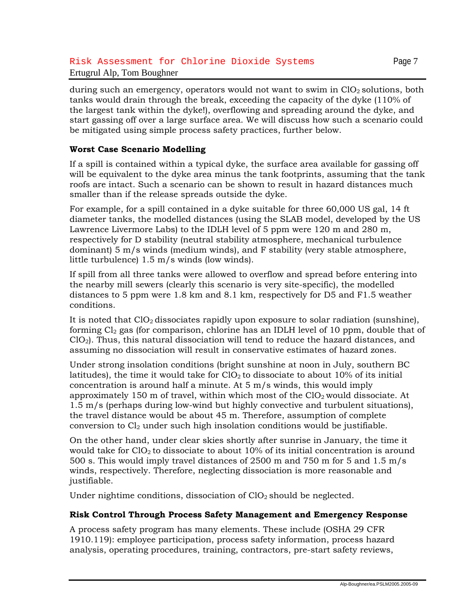during such an emergency, operators would not want to swim in  $ClO<sub>2</sub>$  solutions, both tanks would drain through the break, exceeding the capacity of the dyke (110% of the largest tank within the dyke!), overflowing and spreading around the dyke, and start gassing off over a large surface area. We will discuss how such a scenario could be mitigated using simple process safety practices, further below.

### **Worst Case Scenario Modelling**

If a spill is contained within a typical dyke, the surface area available for gassing off will be equivalent to the dyke area minus the tank footprints, assuming that the tank roofs are intact. Such a scenario can be shown to result in hazard distances much smaller than if the release spreads outside the dyke.

For example, for a spill contained in a dyke suitable for three 60,000 US gal, 14 ft diameter tanks, the modelled distances (using the SLAB model, developed by the US Lawrence Livermore Labs) to the IDLH level of 5 ppm were 120 m and 280 m, respectively for D stability (neutral stability atmosphere, mechanical turbulence dominant) 5 m/s winds (medium winds), and F stability (very stable atmosphere, little turbulence) 1.5 m/s winds (low winds).

If spill from all three tanks were allowed to overflow and spread before entering into the nearby mill sewers (clearly this scenario is very site-specific), the modelled distances to 5 ppm were 1.8 km and 8.1 km, respectively for D5 and F1.5 weather conditions.

It is noted that  $ClO<sub>2</sub>$  dissociates rapidly upon exposure to solar radiation (sunshine), forming  $Cl<sub>2</sub>$  gas (for comparison, chlorine has an IDLH level of 10 ppm, double that of ClO2). Thus, this natural dissociation will tend to reduce the hazard distances, and assuming no dissociation will result in conservative estimates of hazard zones.

Under strong insolation conditions (bright sunshine at noon in July, southern BC latitudes), the time it would take for  $ClO<sub>2</sub>$  to dissociate to about 10% of its initial concentration is around half a minute. At  $5 \text{ m/s}$  winds, this would imply approximately 150 m of travel, within which most of the  $ClO<sub>2</sub>$  would dissociate. At 1.5 m/s (perhaps during low-wind but highly convective and turbulent situations), the travel distance would be about 45 m. Therefore, assumption of complete conversion to  $Cl<sub>2</sub>$  under such high insolation conditions would be justifiable.

On the other hand, under clear skies shortly after sunrise in January, the time it would take for  $ClO<sub>2</sub>$  to dissociate to about 10% of its initial concentration is around 500 s. This would imply travel distances of 2500 m and 750 m for 5 and 1.5 m/s winds, respectively. Therefore, neglecting dissociation is more reasonable and justifiable.

Under nightime conditions, dissociation of  $ClO<sub>2</sub>$  should be neglected.

#### **Risk Control Through Process Safety Management and Emergency Response**

A process safety program has many elements. These include (OSHA 29 CFR 1910.119): employee participation, process safety information, process hazard analysis, operating procedures, training, contractors, pre-start safety reviews,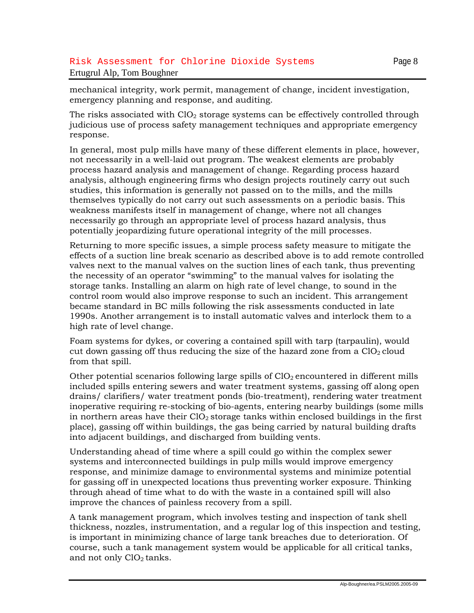emergency planning and response, and auditing.

mechanical integrity, work permit, management of change, incident investigation,

The risks associated with  $ClO<sub>2</sub>$  storage systems can be effectively controlled through judicious use of process safety management techniques and appropriate emergency response.

In general, most pulp mills have many of these different elements in place, however, not necessarily in a well-laid out program. The weakest elements are probably process hazard analysis and management of change. Regarding process hazard analysis, although engineering firms who design projects routinely carry out such studies, this information is generally not passed on to the mills, and the mills themselves typically do not carry out such assessments on a periodic basis. This weakness manifests itself in management of change, where not all changes necessarily go through an appropriate level of process hazard analysis, thus potentially jeopardizing future operational integrity of the mill processes.

Returning to more specific issues, a simple process safety measure to mitigate the effects of a suction line break scenario as described above is to add remote controlled valves next to the manual valves on the suction lines of each tank, thus preventing the necessity of an operator "swimming" to the manual valves for isolating the storage tanks. Installing an alarm on high rate of level change, to sound in the control room would also improve response to such an incident. This arrangement became standard in BC mills following the risk assessments conducted in late 1990s. Another arrangement is to install automatic valves and interlock them to a high rate of level change.

Foam systems for dykes, or covering a contained spill with tarp (tarpaulin), would cut down gassing off thus reducing the size of the hazard zone from a  $ClO<sub>2</sub>$  cloud from that spill.

Other potential scenarios following large spills of  $ClO<sub>2</sub>$  encountered in different mills included spills entering sewers and water treatment systems, gassing off along open drains/ clarifiers/ water treatment ponds (bio-treatment), rendering water treatment inoperative requiring re-stocking of bio-agents, entering nearby buildings (some mills in northern areas have their  $ClO<sub>2</sub>$  storage tanks within enclosed buildings in the first place), gassing off within buildings, the gas being carried by natural building drafts into adjacent buildings, and discharged from building vents.

Understanding ahead of time where a spill could go within the complex sewer systems and interconnected buildings in pulp mills would improve emergency response, and minimize damage to environmental systems and minimize potential for gassing off in unexpected locations thus preventing worker exposure. Thinking through ahead of time what to do with the waste in a contained spill will also improve the chances of painless recovery from a spill.

A tank management program, which involves testing and inspection of tank shell thickness, nozzles, instrumentation, and a regular log of this inspection and testing, is important in minimizing chance of large tank breaches due to deterioration. Of course, such a tank management system would be applicable for all critical tanks, and not only ClO<sub>2</sub> tanks.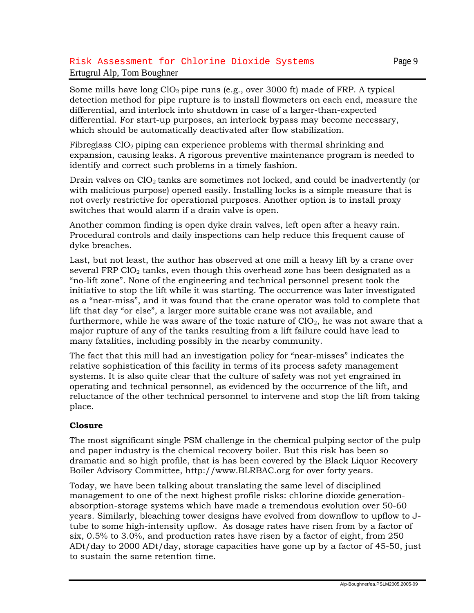### Risk Assessment for Chlorine Dioxide Systems Page 9 Ertugrul Alp, Tom Boughner

Some mills have long  $ClO<sub>2</sub>$  pipe runs (e.g., over 3000 ft) made of FRP. A typical detection method for pipe rupture is to install flowmeters on each end, measure the differential, and interlock into shutdown in case of a larger-than-expected differential. For start-up purposes, an interlock bypass may become necessary, which should be automatically deactivated after flow stabilization.

Fibreglass  $ClO<sub>2</sub>$  piping can experience problems with thermal shrinking and expansion, causing leaks. A rigorous preventive maintenance program is needed to identify and correct such problems in a timely fashion.

Drain valves on ClO<sub>2</sub> tanks are sometimes not locked, and could be inadvertently (or with malicious purpose) opened easily. Installing locks is a simple measure that is not overly restrictive for operational purposes. Another option is to install proxy switches that would alarm if a drain valve is open.

Another common finding is open dyke drain valves, left open after a heavy rain. Procedural controls and daily inspections can help reduce this frequent cause of dyke breaches.

Last, but not least, the author has observed at one mill a heavy lift by a crane over several FRP ClO<sub>2</sub> tanks, even though this overhead zone has been designated as a "no-lift zone". None of the engineering and technical personnel present took the initiative to stop the lift while it was starting. The occurrence was later investigated as a "near-miss", and it was found that the crane operator was told to complete that lift that day "or else", a larger more suitable crane was not available, and furthermore, while he was aware of the toxic nature of  $ClO<sub>2</sub>$ , he was not aware that a major rupture of any of the tanks resulting from a lift failure could have lead to many fatalities, including possibly in the nearby community.

The fact that this mill had an investigation policy for "near-misses" indicates the relative sophistication of this facility in terms of its process safety management systems. It is also quite clear that the culture of safety was not yet engrained in operating and technical personnel, as evidenced by the occurrence of the lift, and reluctance of the other technical personnel to intervene and stop the lift from taking place.

### **Closure**

The most significant single PSM challenge in the chemical pulping sector of the pulp and paper industry is the chemical recovery boiler. But this risk has been so dramatic and so high profile, that is has been covered by the Black Liquor Recovery Boiler Advisory Committee, http://www.BLRBAC.org for over forty years.

Today, we have been talking about translating the same level of disciplined management to one of the next highest profile risks: chlorine dioxide generationabsorption-storage systems which have made a tremendous evolution over 50-60 years. Similarly, bleaching tower designs have evolved from downflow to upflow to Jtube to some high-intensity upflow. As dosage rates have risen from by a factor of six, 0.5% to 3.0%, and production rates have risen by a factor of eight, from 250 ADt/day to 2000 ADt/day, storage capacities have gone up by a factor of 45-50, just to sustain the same retention time.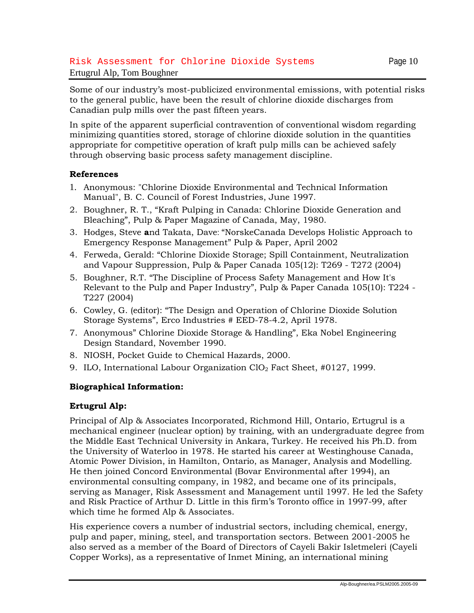## Risk Assessment for Chlorine Dioxide Systems Page 10 Ertugrul Alp, Tom Boughner

Some of our industry's most-publicized environmental emissions, with potential risks to the general public, have been the result of chlorine dioxide discharges from Canadian pulp mills over the past fifteen years.

In spite of the apparent superficial contravention of conventional wisdom regarding minimizing quantities stored, storage of chlorine dioxide solution in the quantities appropriate for competitive operation of kraft pulp mills can be achieved safely through observing basic process safety management discipline.

#### **References**

- 1. Anonymous: "Chlorine Dioxide Environmental and Technical Information Manual", B. C. Council of Forest Industries, June 1997.
- 2. Boughner, R. T., "Kraft Pulping in Canada: Chlorine Dioxide Generation and Bleaching", Pulp & Paper Magazine of Canada, May, 1980.
- 3. Hodges, Steve **a**nd Takata, Dave: "NorskeCanada Develops Holistic Approach to Emergency Response Management" Pulp & Paper, April 2002
- 4. Ferweda, Gerald: "Chlorine Dioxide Storage; Spill Containment, Neutralization and Vapour Suppression, Pulp & Paper Canada 105(12): T269 - T272 (2004)
- 5. Boughner, R.T. "The Discipline of Process Safety Management and How It's Relevant to the Pulp and Paper Industry", Pulp & Paper Canada 105(10): T224 - T227 (2004)
- 6. Cowley, G. (editor): "The Design and Operation of Chlorine Dioxide Solution Storage Systems", Erco Industries # EED-78-4.2, April 1978.
- 7. Anonymous" Chlorine Dioxide Storage & Handling", Eka Nobel Engineering Design Standard, November 1990.
- 8. NIOSH, Pocket Guide to Chemical Hazards, 2000.
- 9. ILO, International Labour Organization ClO<sub>2</sub> Fact Sheet, #0127, 1999.

### **Biographical Information:**

### **Ertugrul Alp:**

Principal of Alp & Associates Incorporated, Richmond Hill, Ontario, Ertugrul is a mechanical engineer (nuclear option) by training, with an undergraduate degree from the Middle East Technical University in Ankara, Turkey. He received his Ph.D. from the University of Waterloo in 1978. He started his career at Westinghouse Canada, Atomic Power Division, in Hamilton, Ontario, as Manager, Analysis and Modelling. He then joined Concord Environmental (Bovar Environmental after 1994), an environmental consulting company, in 1982, and became one of its principals, serving as Manager, Risk Assessment and Management until 1997. He led the Safety and Risk Practice of Arthur D. Little in this firm's Toronto office in 1997-99, after which time he formed Alp & Associates.

His experience covers a number of industrial sectors, including chemical, energy, pulp and paper, mining, steel, and transportation sectors. Between 2001-2005 he also served as a member of the Board of Directors of Cayeli Bakir Isletmeleri (Cayeli Copper Works), as a representative of Inmet Mining, an international mining